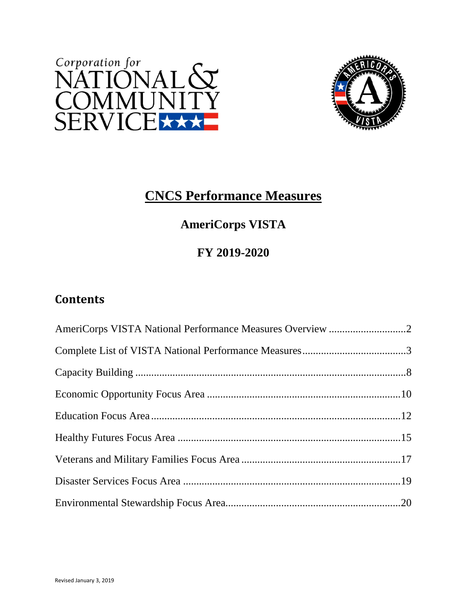



# **CNCS Performance Measures**

# **AmeriCorps VISTA**

### **FY 2019-2020**

# **Contents**

| AmeriCorps VISTA National Performance Measures Overview 2 |  |
|-----------------------------------------------------------|--|
|                                                           |  |
|                                                           |  |
|                                                           |  |
|                                                           |  |
|                                                           |  |
|                                                           |  |
|                                                           |  |
|                                                           |  |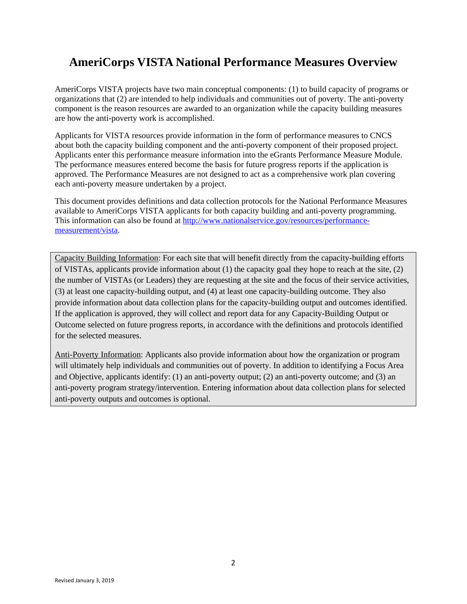### **AmeriCorps VISTA National Performance Measures Overview**

AmeriCorps VISTA projects have two main conceptual components: (1) to build capacity of programs or organizations that (2) are intended to help individuals and communities out of poverty. The anti-poverty component is the reason resources are awarded to an organization while the capacity building measures are how the anti-poverty work is accomplished.

Applicants for VISTA resources provide information in the form of performance measures to CNCS about both the capacity building component and the anti-poverty component of their proposed project. Applicants enter this performance measure information into the eGrants Performance Measure Module. The performance measures entered become the basis for future progress reports if the application is approved. The Performance Measures are not designed to act as a comprehensive work plan covering each anti-poverty measure undertaken by a project.

This document provides definitions and data collection protocols for the National Performance Measures available to AmeriCorps VISTA applicants for both capacity building and anti-poverty programming. This information can also be found at http://www.nationalservice.gov/resources/performancemeasurement/vista.

Capacity Building Information: For each site that will benefit directly from the capacity-building efforts of VISTAs, applicants provide information about (1) the capacity goal they hope to reach at the site, (2) the number of VISTAs (or Leaders) they are requesting at the site and the focus of their service activities, (3) at least one capacity-building output, and (4) at least one capacity-building outcome. They also provide information about data collection plans for the capacity-building output and outcomes identified. If the application is approved, they will collect and report data for any Capacity-Building Output or Outcome selected on future progress reports, in accordance with the definitions and protocols identified for the selected measures.

Anti-Poverty Information: Applicants also provide information about how the organization or program will ultimately help individuals and communities out of poverty. In addition to identifying a Focus Area and Objective, applicants identify: (1) an anti-poverty output; (2) an anti-poverty outcome; and (3) an anti-poverty program strategy/intervention. Entering information about data collection plans for selected anti-poverty outputs and outcomes is optional.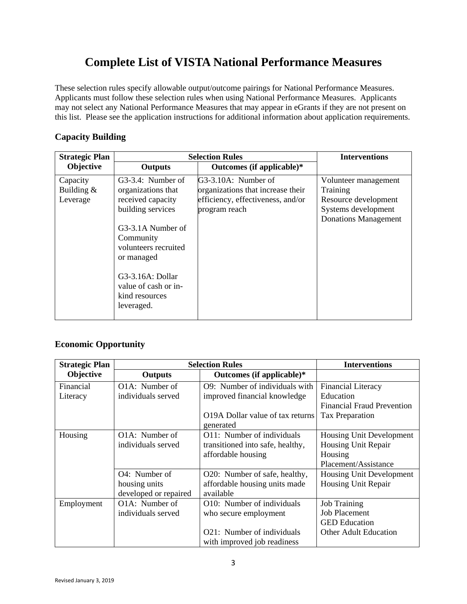### **Complete List of VISTA National Performance Measures**

These selection rules specify allowable output/outcome pairings for National Performance Measures. Applicants must follow these selection rules when using National Performance Measures. Applicants may not select any National Performance Measures that may appear in eGrants if they are not present on this list. Please see the application instructions for additional information about application requirements.

### **Capacity Building**

| <b>Strategic Plan</b>                |                                                                                                                                                                                                                                       | <b>Selection Rules</b>                                                                                         | <b>Interventions</b>                                                                                           |
|--------------------------------------|---------------------------------------------------------------------------------------------------------------------------------------------------------------------------------------------------------------------------------------|----------------------------------------------------------------------------------------------------------------|----------------------------------------------------------------------------------------------------------------|
| Objective                            | <b>Outputs</b>                                                                                                                                                                                                                        | Outcomes (if applicable)*                                                                                      |                                                                                                                |
| Capacity<br>Building $&$<br>Leverage | G3-3.4: Number of<br>organizations that<br>received capacity<br>building services<br>G3-3.1A Number of<br>Community<br>volunteers recruited<br>or managed<br>G3-3.16A: Dollar<br>value of cash or in-<br>kind resources<br>leveraged. | G3-3.10A: Number of<br>organizations that increase their<br>efficiency, effectiveness, and/or<br>program reach | Volunteer management<br>Training<br>Resource development<br>Systems development<br><b>Donations Management</b> |

### **Economic Opportunity**

| <b>Strategic Plan</b> |                             | <b>Selection Rules</b>           | <b>Interventions</b>              |
|-----------------------|-----------------------------|----------------------------------|-----------------------------------|
| Objective             | <b>Outputs</b>              | Outcomes (if applicable)*        |                                   |
| Financial             | O1A: Number of              | O9: Number of individuals with   | <b>Financial Literacy</b>         |
| Literacy              | individuals served          | improved financial knowledge     | Education                         |
|                       |                             |                                  | <b>Financial Fraud Prevention</b> |
|                       |                             | O19A Dollar value of tax returns | Tax Preparation                   |
|                       |                             | generated                        |                                   |
| Housing               | O <sub>1</sub> A: Number of | O11: Number of individuals       | <b>Housing Unit Development</b>   |
|                       | individuals served          | transitioned into safe, healthy, | Housing Unit Repair               |
|                       |                             | affordable housing               | Housing                           |
|                       |                             |                                  | Placement/Assistance              |
|                       | O4: Number of               | O20: Number of safe, healthy,    | <b>Housing Unit Development</b>   |
|                       | housing units               | affordable housing units made    | Housing Unit Repair               |
|                       | developed or repaired       | available                        |                                   |
| Employment            | O1A: Number of              | O10: Number of individuals       | <b>Job Training</b>               |
|                       | individuals served          | who secure employment            | <b>Job Placement</b>              |
|                       |                             |                                  | <b>GED</b> Education              |
|                       |                             | O21: Number of individuals       | <b>Other Adult Education</b>      |
|                       |                             | with improved job readiness      |                                   |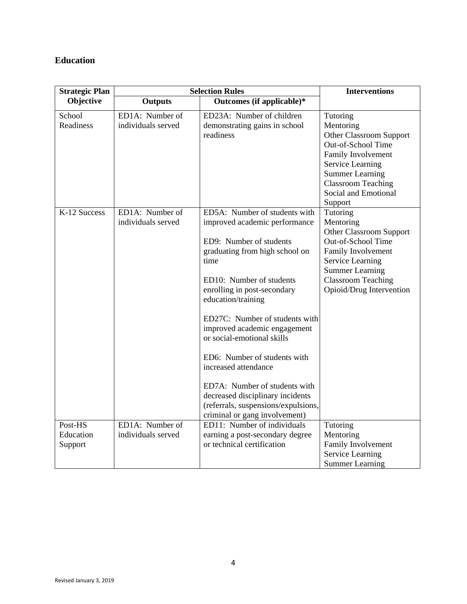### **Education**

| <b>Strategic Plan</b>           |                                       | <b>Selection Rules</b>                                                                                                                                                                                                                                                                                                                                                                                                                                                                                                    | <b>Interventions</b>                                                                                                                                                                                       |
|---------------------------------|---------------------------------------|---------------------------------------------------------------------------------------------------------------------------------------------------------------------------------------------------------------------------------------------------------------------------------------------------------------------------------------------------------------------------------------------------------------------------------------------------------------------------------------------------------------------------|------------------------------------------------------------------------------------------------------------------------------------------------------------------------------------------------------------|
| Objective                       | <b>Outputs</b>                        | Outcomes (if applicable)*                                                                                                                                                                                                                                                                                                                                                                                                                                                                                                 |                                                                                                                                                                                                            |
| School<br>Readiness             | ED1A: Number of<br>individuals served | ED23A: Number of children<br>demonstrating gains in school<br>readiness                                                                                                                                                                                                                                                                                                                                                                                                                                                   | Tutoring<br>Mentoring<br>Other Classroom Support<br>Out-of-School Time<br>Family Involvement<br>Service Learning<br><b>Summer Learning</b><br><b>Classroom Teaching</b><br>Social and Emotional<br>Support |
| K-12 Success                    | ED1A: Number of<br>individuals served | ED5A: Number of students with<br>improved academic performance<br>ED9: Number of students<br>graduating from high school on<br>time<br>ED10: Number of students<br>enrolling in post-secondary<br>education/training<br>ED27C: Number of students with<br>improved academic engagement<br>or social-emotional skills<br>ED6: Number of students with<br>increased attendance<br>ED7A: Number of students with<br>decreased disciplinary incidents<br>(referrals, suspensions/expulsions,<br>criminal or gang involvement) | Tutoring<br>Mentoring<br>Other Classroom Support<br>Out-of-School Time<br>Family Involvement<br><b>Service Learning</b><br><b>Summer Learning</b><br><b>Classroom Teaching</b><br>Opioid/Drug Intervention |
| Post-HS<br>Education<br>Support | ED1A: Number of<br>individuals served | ED11: Number of individuals<br>earning a post-secondary degree<br>or technical certification                                                                                                                                                                                                                                                                                                                                                                                                                              | Tutoring<br>Mentoring<br>Family Involvement<br>Service Learning<br><b>Summer Learning</b>                                                                                                                  |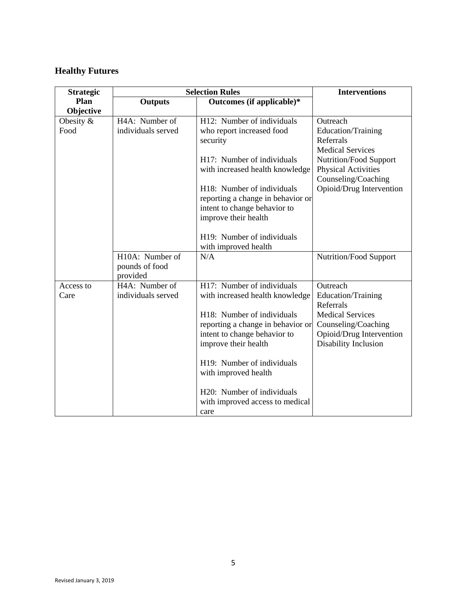### **Healthy Futures**

| <b>Strategic</b> |                    | <b>Selection Rules</b>            | <b>Interventions</b>                              |
|------------------|--------------------|-----------------------------------|---------------------------------------------------|
| <b>Plan</b>      | <b>Outputs</b>     | Outcomes (if applicable)*         |                                                   |
| Objective        |                    |                                   |                                                   |
| Obesity $&$      | H4A: Number of     | H12: Number of individuals        | Outreach                                          |
| Food             | individuals served | who report increased food         | Education/Training                                |
|                  |                    | security                          | Referrals                                         |
|                  |                    |                                   | <b>Medical Services</b>                           |
|                  |                    | H17: Number of individuals        | Nutrition/Food Support                            |
|                  |                    | with increased health knowledge   | <b>Physical Activities</b><br>Counseling/Coaching |
|                  |                    | H18: Number of individuals        | Opioid/Drug Intervention                          |
|                  |                    | reporting a change in behavior or |                                                   |
|                  |                    | intent to change behavior to      |                                                   |
|                  |                    | improve their health              |                                                   |
|                  |                    |                                   |                                                   |
|                  |                    | H19: Number of individuals        |                                                   |
|                  |                    | with improved health              |                                                   |
|                  | H10A: Number of    | N/A                               | <b>Nutrition/Food Support</b>                     |
|                  | pounds of food     |                                   |                                                   |
|                  | provided           |                                   |                                                   |
| Access to        | H4A: Number of     | H17: Number of individuals        | Outreach                                          |
| Care             | individuals served | with increased health knowledge   | Education/Training                                |
|                  |                    |                                   | Referrals                                         |
|                  |                    | H18: Number of individuals        | <b>Medical Services</b>                           |
|                  |                    | reporting a change in behavior or | Counseling/Coaching                               |
|                  |                    | intent to change behavior to      | Opioid/Drug Intervention                          |
|                  |                    | improve their health              | Disability Inclusion                              |
|                  |                    | H19: Number of individuals        |                                                   |
|                  |                    | with improved health              |                                                   |
|                  |                    | H20: Number of individuals        |                                                   |
|                  |                    | with improved access to medical   |                                                   |
|                  |                    | care                              |                                                   |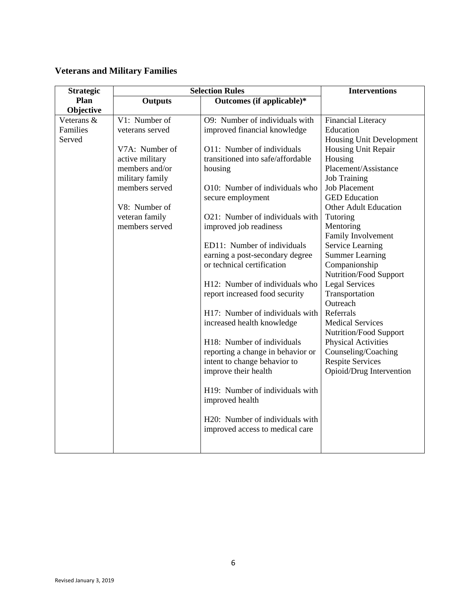### **Veterans and Military Families**

| <b>Strategic</b> |                                   | <b>Selection Rules</b>            | <b>Interventions</b>                        |
|------------------|-----------------------------------|-----------------------------------|---------------------------------------------|
| Plan             | <b>Outputs</b>                    | Outcomes (if applicable)*         |                                             |
| Objective        |                                   |                                   |                                             |
| Veterans &       | V1: Number of                     | O9: Number of individuals with    | <b>Financial Literacy</b>                   |
| Families         | veterans served                   | improved financial knowledge      | Education                                   |
| Served           |                                   |                                   | Housing Unit Development                    |
|                  | V7A: Number of                    | O11: Number of individuals        | Housing Unit Repair                         |
|                  | active military                   | transitioned into safe/affordable | Housing<br>Placement/Assistance             |
|                  | members and/or                    | housing                           |                                             |
|                  | military family<br>members served | O10: Number of individuals who    | <b>Job Training</b><br><b>Job Placement</b> |
|                  |                                   |                                   | <b>GED</b> Education                        |
|                  | V8: Number of                     | secure employment                 | <b>Other Adult Education</b>                |
|                  | veteran family                    | O21: Number of individuals with   | Tutoring                                    |
|                  | members served                    | improved job readiness            | Mentoring                                   |
|                  |                                   |                                   | Family Involvement                          |
|                  |                                   | ED11: Number of individuals       | Service Learning                            |
|                  |                                   | earning a post-secondary degree   | <b>Summer Learning</b>                      |
|                  |                                   | or technical certification        | Companionship                               |
|                  |                                   |                                   | Nutrition/Food Support                      |
|                  |                                   | H12: Number of individuals who    | <b>Legal Services</b>                       |
|                  |                                   | report increased food security    | Transportation                              |
|                  |                                   |                                   | Outreach                                    |
|                  |                                   | H17: Number of individuals with   | Referrals                                   |
|                  |                                   | increased health knowledge        | <b>Medical Services</b>                     |
|                  |                                   |                                   | <b>Nutrition/Food Support</b>               |
|                  |                                   | H18: Number of individuals        | <b>Physical Activities</b>                  |
|                  |                                   | reporting a change in behavior or | Counseling/Coaching                         |
|                  |                                   | intent to change behavior to      | <b>Respite Services</b>                     |
|                  |                                   | improve their health              | Opioid/Drug Intervention                    |
|                  |                                   |                                   |                                             |
|                  |                                   | H19: Number of individuals with   |                                             |
|                  |                                   | improved health                   |                                             |
|                  |                                   |                                   |                                             |
|                  |                                   | H20: Number of individuals with   |                                             |
|                  |                                   | improved access to medical care   |                                             |
|                  |                                   |                                   |                                             |
|                  |                                   |                                   |                                             |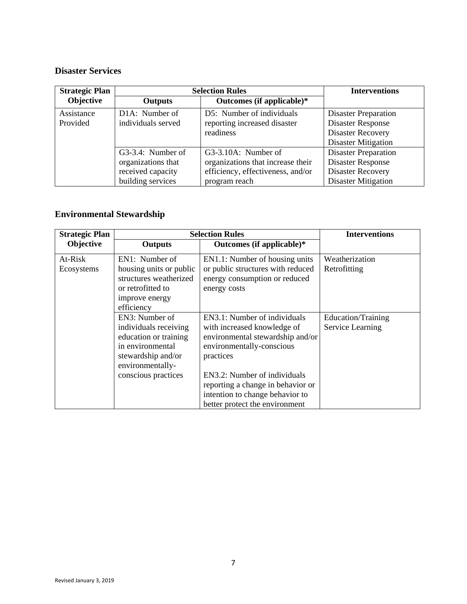### **Disaster Services**

| <b>Strategic Plan</b> |                             | <b>Selection Rules</b>            | <b>Interventions</b>        |
|-----------------------|-----------------------------|-----------------------------------|-----------------------------|
| Objective             | Outputs                     | Outcomes (if applicable)*         |                             |
| Assistance            | D <sub>1</sub> A: Number of | D5: Number of individuals         | <b>Disaster Preparation</b> |
| Provided              | individuals served          | reporting increased disaster      | <b>Disaster Response</b>    |
|                       |                             | readiness                         | <b>Disaster Recovery</b>    |
|                       |                             |                                   | <b>Disaster Mitigation</b>  |
|                       | G3-3.4: Number of           | G3-3.10A: Number of               | <b>Disaster Preparation</b> |
|                       | organizations that          | organizations that increase their | Disaster Response           |
|                       | received capacity           | efficiency, effectiveness, and/or | <b>Disaster Recovery</b>    |
|                       | building services           | program reach                     | <b>Disaster Mitigation</b>  |

# **Environmental Stewardship**

| <b>Strategic Plan</b> |                                                                                                                                                       | <b>Selection Rules</b>                                                                                                                                                                                                                                                              | <b>Interventions</b>                   |
|-----------------------|-------------------------------------------------------------------------------------------------------------------------------------------------------|-------------------------------------------------------------------------------------------------------------------------------------------------------------------------------------------------------------------------------------------------------------------------------------|----------------------------------------|
| Objective             | <b>Outputs</b>                                                                                                                                        | Outcomes (if applicable)*                                                                                                                                                                                                                                                           |                                        |
| At-Risk<br>Ecosystems | $EN1:$ Number of<br>housing units or public<br>structures weatherized<br>or retrofitted to<br>improve energy<br>efficiency                            | EN1.1: Number of housing units<br>or public structures with reduced<br>energy consumption or reduced<br>energy costs                                                                                                                                                                | Weatherization<br>Retrofitting         |
|                       | EN3: Number of<br>individuals receiving<br>education or training<br>in environmental<br>stewardship and/or<br>environmentally-<br>conscious practices | EN3.1: Number of individuals<br>with increased knowledge of<br>environmental stewardship and/or<br>environmentally-conscious<br>practices<br>EN3.2: Number of individuals<br>reporting a change in behavior or<br>intention to change behavior to<br>better protect the environment | Education/Training<br>Service Learning |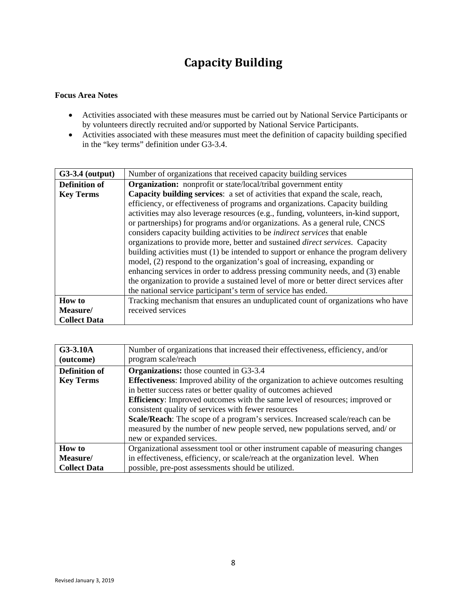# **Capacity** Building

- Activities associated with these measures must be carried out by National Service Participants or by volunteers directly recruited and/or supported by National Service Participants.
- Activities associated with these measures must meet the definition of capacity building specified in the "key terms" definition under G3-3.4.

| $G3-3.4$ (output)    | Number of organizations that received capacity building services                      |
|----------------------|---------------------------------------------------------------------------------------|
| <b>Definition of</b> | <b>Organization:</b> nonprofit or state/local/tribal government entity                |
| <b>Key Terms</b>     | Capacity building services: a set of activities that expand the scale, reach,         |
|                      | efficiency, or effectiveness of programs and organizations. Capacity building         |
|                      | activities may also leverage resources (e.g., funding, volunteers, in-kind support,   |
|                      | or partnerships) for programs and/or organizations. As a general rule, CNCS           |
|                      | considers capacity building activities to be <i>indirect services</i> that enable     |
|                      | organizations to provide more, better and sustained <i>direct services</i> . Capacity |
|                      | building activities must (1) be intended to support or enhance the program delivery   |
|                      | model, (2) respond to the organization's goal of increasing, expanding or             |
|                      | enhancing services in order to address pressing community needs, and (3) enable       |
|                      | the organization to provide a sustained level of more or better direct services after |
|                      | the national service participant's term of service has ended.                         |
| <b>How to</b>        | Tracking mechanism that ensures an unduplicated count of organizations who have       |
| Measure/             | received services                                                                     |
| <b>Collect Data</b>  |                                                                                       |

| G3-3.10A             | Number of organizations that increased their effectiveness, efficiency, and/or           |
|----------------------|------------------------------------------------------------------------------------------|
| (outcome)            | program scale/reach                                                                      |
| <b>Definition of</b> | <b>Organizations:</b> those counted in G3-3.4                                            |
| <b>Key Terms</b>     | <b>Effectiveness:</b> Improved ability of the organization to achieve outcomes resulting |
|                      | in better success rates or better quality of outcomes achieved                           |
|                      | <b>Efficiency:</b> Improved outcomes with the same level of resources; improved or       |
|                      | consistent quality of services with fewer resources                                      |
|                      | Scale/Reach: The scope of a program's services. Increased scale/reach can be             |
|                      | measured by the number of new people served, new populations served, and/ or             |
|                      | new or expanded services.                                                                |
| <b>How to</b>        | Organizational assessment tool or other instrument capable of measuring changes          |
| Measure/             | in effectiveness, efficiency, or scale/reach at the organization level. When             |
| <b>Collect Data</b>  | possible, pre-post assessments should be utilized.                                       |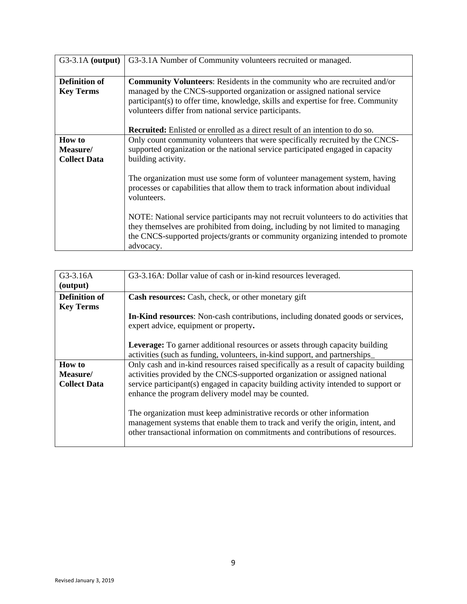| $G3-3.1A$ (output)                        | G3-3.1A Number of Community volunteers recruited or managed.                                                                                                                                                                                                                                                                                                                                     |
|-------------------------------------------|--------------------------------------------------------------------------------------------------------------------------------------------------------------------------------------------------------------------------------------------------------------------------------------------------------------------------------------------------------------------------------------------------|
| <b>Definition of</b><br><b>Key Terms</b>  | <b>Community Volunteers:</b> Residents in the community who are recruited and/or<br>managed by the CNCS-supported organization or assigned national service<br>participant(s) to offer time, knowledge, skills and expertise for free. Community<br>volunteers differ from national service participants.<br><b>Recruited:</b> Enlisted or enrolled as a direct result of an intention to do so. |
| How to<br>Measure/<br><b>Collect Data</b> | Only count community volunteers that were specifically recruited by the CNCS-<br>supported organization or the national service participated engaged in capacity<br>building activity.<br>The organization must use some form of volunteer management system, having                                                                                                                             |
|                                           | processes or capabilities that allow them to track information about individual<br>volunteers.<br>NOTE: National service participants may not recruit volunteers to do activities that<br>they themselves are prohibited from doing, including by not limited to managing<br>the CNCS-supported projects/grants or community organizing intended to promote<br>advocacy.                         |

| G3-3.16A             | G3-3.16A: Dollar value of cash or in-kind resources leveraged.                         |
|----------------------|----------------------------------------------------------------------------------------|
| (output)             |                                                                                        |
| <b>Definition of</b> | <b>Cash resources:</b> Cash, check, or other monetary gift                             |
| <b>Key Terms</b>     |                                                                                        |
|                      | <b>In-Kind resources:</b> Non-cash contributions, including donated goods or services, |
|                      | expert advice, equipment or property.                                                  |
|                      |                                                                                        |
|                      | Leverage: To garner additional resources or assets through capacity building           |
|                      | activities (such as funding, volunteers, in-kind support, and partnerships             |
| <b>How to</b>        | Only cash and in-kind resources raised specifically as a result of capacity building   |
| Measure/             | activities provided by the CNCS-supported organization or assigned national            |
| <b>Collect Data</b>  | service participant(s) engaged in capacity building activity intended to support or    |
|                      | enhance the program delivery model may be counted.                                     |
|                      |                                                                                        |
|                      | The organization must keep administrative records or other information                 |
|                      | management systems that enable them to track and verify the origin, intent, and        |
|                      | other transactional information on commitments and contributions of resources.         |
|                      |                                                                                        |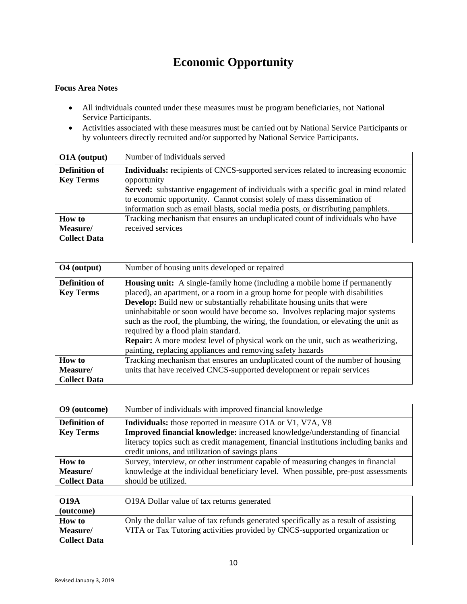# **Economic Opportunity**

- All individuals counted under these measures must be program beneficiaries, not National Service Participants.
- Activities associated with these measures must be carried out by National Service Participants or by volunteers directly recruited and/or supported by National Service Participants.

| O1A (output)                             | Number of individuals served                                                                                                                                                                                                                                                                                                                                        |
|------------------------------------------|---------------------------------------------------------------------------------------------------------------------------------------------------------------------------------------------------------------------------------------------------------------------------------------------------------------------------------------------------------------------|
| <b>Definition of</b><br><b>Key Terms</b> | <b>Individuals:</b> recipients of CNCS-supported services related to increasing economic<br>opportunity<br><b>Served:</b> substantive engagement of individuals with a specific goal in mind related<br>to economic opportunity. Cannot consist solely of mass dissemination of<br>information such as email blasts, social media posts, or distributing pamphlets. |
| <b>How to</b><br>Measure/                | Tracking mechanism that ensures an unduplicated count of individuals who have<br>received services                                                                                                                                                                                                                                                                  |
| <b>Collect Data</b>                      |                                                                                                                                                                                                                                                                                                                                                                     |

| O <sub>4</sub> (output)                          | Number of housing units developed or repaired                                                                                                                                                                                                                                                                                                                                                                                                                                                                                                                                                                  |
|--------------------------------------------------|----------------------------------------------------------------------------------------------------------------------------------------------------------------------------------------------------------------------------------------------------------------------------------------------------------------------------------------------------------------------------------------------------------------------------------------------------------------------------------------------------------------------------------------------------------------------------------------------------------------|
| <b>Definition of</b><br><b>Key Terms</b>         | <b>Housing unit:</b> A single-family home (including a mobile home if permanently<br>placed), an apartment, or a room in a group home for people with disabilities<br>Develop: Build new or substantially rehabilitate housing units that were<br>uninhabitable or soon would have become so. Involves replacing major systems<br>such as the roof, the plumbing, the wiring, the foundation, or elevating the unit as<br>required by a flood plain standard.<br>Repair: A more modest level of physical work on the unit, such as weatherizing,<br>painting, replacing appliances and removing safety hazards |
| <b>How to</b><br>Measure/<br><b>Collect Data</b> | Tracking mechanism that ensures an unduplicated count of the number of housing<br>units that have received CNCS-supported development or repair services                                                                                                                                                                                                                                                                                                                                                                                                                                                       |

| O9 (outcome)         | Number of individuals with improved financial knowledge                               |
|----------------------|---------------------------------------------------------------------------------------|
| <b>Definition of</b> | <b>Individuals:</b> those reported in measure O1A or V1, V7A, V8                      |
| <b>Key Terms</b>     | <b>Improved financial knowledge:</b> increased knowledge/understanding of financial   |
|                      | literacy topics such as credit management, financial institutions including banks and |
|                      | credit unions, and utilization of savings plans                                       |
| <b>How to</b>        | Survey, interview, or other instrument capable of measuring changes in financial      |
| Measure/             | knowledge at the individual beneficiary level. When possible, pre-post assessments    |
| <b>Collect Data</b>  | should be utilized.                                                                   |
|                      |                                                                                       |

| <b>O19A</b>         | O19A Dollar value of tax returns generated                                           |
|---------------------|--------------------------------------------------------------------------------------|
| (outcome)           |                                                                                      |
| <b>How to</b>       | Only the dollar value of tax refunds generated specifically as a result of assisting |
| Measure/            | VITA or Tax Tutoring activities provided by CNCS-supported organization or           |
| <b>Collect Data</b> |                                                                                      |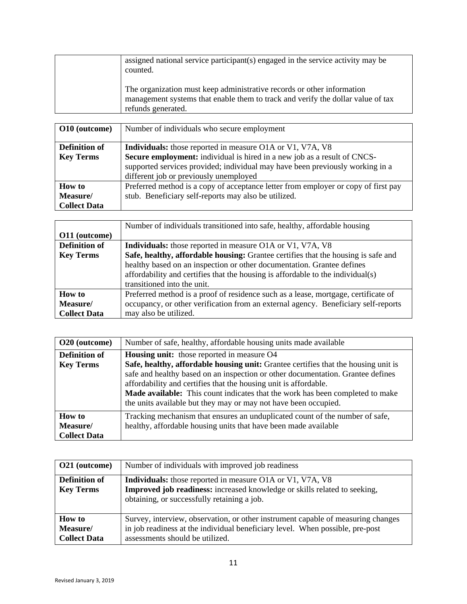| assigned national service participant(s) engaged in the service activity may be<br>counted.                                                                                     |
|---------------------------------------------------------------------------------------------------------------------------------------------------------------------------------|
| The organization must keep administrative records or other information<br>management systems that enable them to track and verify the dollar value of tax<br>refunds generated. |

| O10 (outcome)        | Number of individuals who secure employment                                        |
|----------------------|------------------------------------------------------------------------------------|
|                      |                                                                                    |
| <b>Definition of</b> | <b>Individuals:</b> those reported in measure O1A or V1, V7A, V8                   |
| <b>Key Terms</b>     | Secure employment: individual is hired in a new job as a result of CNCS-           |
|                      | supported services provided; individual may have been previously working in a      |
|                      | different job or previously unemployed                                             |
| <b>How</b> to        | Preferred method is a copy of acceptance letter from employer or copy of first pay |
| Measure/             | stub. Beneficiary self-reports may also be utilized.                               |
| <b>Collect Data</b>  |                                                                                    |

|                      | Number of individuals transitioned into safe, healthy, affordable housing          |
|----------------------|------------------------------------------------------------------------------------|
| O11 (outcome)        |                                                                                    |
| <b>Definition of</b> | <b>Individuals:</b> those reported in measure O1A or V1, V7A, V8                   |
| <b>Key Terms</b>     | Safe, healthy, affordable housing: Grantee certifies that the housing is safe and  |
|                      | healthy based on an inspection or other documentation. Grantee defines             |
|                      | affordability and certifies that the housing is affordable to the individual(s)    |
|                      | transitioned into the unit.                                                        |
| <b>How to</b>        | Preferred method is a proof of residence such as a lease, mortgage, certificate of |
| Measure/             | occupancy, or other verification from an external agency. Beneficiary self-reports |
| <b>Collect Data</b>  | may also be utilized.                                                              |

| O20 (outcome)        | Number of safe, healthy, affordable housing units made available                                                                                                                                                                                                                                        |
|----------------------|---------------------------------------------------------------------------------------------------------------------------------------------------------------------------------------------------------------------------------------------------------------------------------------------------------|
| <b>Definition of</b> | <b>Housing unit:</b> those reported in measure O4                                                                                                                                                                                                                                                       |
| <b>Key Terms</b>     | Safe, healthy, affordable housing unit: Grantee certifies that the housing unit is                                                                                                                                                                                                                      |
|                      | safe and healthy based on an inspection or other documentation. Grantee defines<br>affordability and certifies that the housing unit is affordable.<br>Made available: This count indicates that the work has been completed to make<br>the units available but they may or may not have been occupied. |
| <b>How to</b>        | Tracking mechanism that ensures an unduplicated count of the number of safe,                                                                                                                                                                                                                            |
| Measure/             | healthy, affordable housing units that have been made available                                                                                                                                                                                                                                         |
| <b>Collect Data</b>  |                                                                                                                                                                                                                                                                                                         |

| O21 (outcome)                                    | Number of individuals with improved job readiness                                                                                                                                                    |
|--------------------------------------------------|------------------------------------------------------------------------------------------------------------------------------------------------------------------------------------------------------|
| <b>Definition of</b><br><b>Key Terms</b>         | Individuals: those reported in measure O1A or V1, V7A, V8<br>Improved job readiness: increased knowledge or skills related to seeking,<br>obtaining, or successfully retaining a job.                |
| <b>How</b> to<br>Measure/<br><b>Collect Data</b> | Survey, interview, observation, or other instrument capable of measuring changes<br>in job readiness at the individual beneficiary level. When possible, pre-post<br>assessments should be utilized. |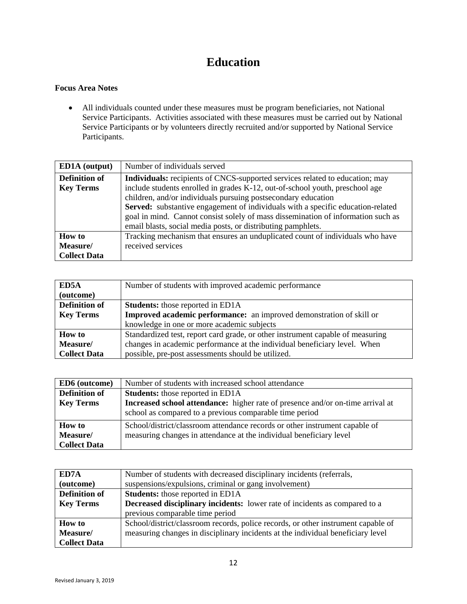### **Education**

#### **Focus Area Notes**

 All individuals counted under these measures must be program beneficiaries, not National Service Participants. Activities associated with these measures must be carried out by National Service Participants or by volunteers directly recruited and/or supported by National Service Participants.

| <b>ED1A</b> (output) | Number of individuals served                                                     |
|----------------------|----------------------------------------------------------------------------------|
| <b>Definition of</b> | Individuals: recipients of CNCS-supported services related to education; may     |
| <b>Key Terms</b>     | include students enrolled in grades K-12, out-of-school youth, preschool age     |
|                      | children, and/or individuals pursuing postsecondary education                    |
|                      | Served: substantive engagement of individuals with a specific education-related  |
|                      | goal in mind. Cannot consist solely of mass dissemination of information such as |
|                      | email blasts, social media posts, or distributing pamphlets.                     |
| <b>How to</b>        | Tracking mechanism that ensures an unduplicated count of individuals who have    |
| Measure/             | received services                                                                |
| <b>Collect Data</b>  |                                                                                  |

| ED5A                 | Number of students with improved academic performance                          |
|----------------------|--------------------------------------------------------------------------------|
| (outcome)            |                                                                                |
| <b>Definition of</b> | <b>Students:</b> those reported in ED1A                                        |
| <b>Key Terms</b>     | <b>Improved academic performance:</b> an improved demonstration of skill or    |
|                      | knowledge in one or more academic subjects                                     |
| <b>How</b> to        | Standardized test, report card grade, or other instrument capable of measuring |
| Measure/             | changes in academic performance at the individual beneficiary level. When      |
| <b>Collect Data</b>  | possible, pre-post assessments should be utilized.                             |

| ED6 (outcome)                                    | Number of students with increased school attendance                                                                                                |
|--------------------------------------------------|----------------------------------------------------------------------------------------------------------------------------------------------------|
| <b>Definition of</b>                             | <b>Students:</b> those reported in ED1A                                                                                                            |
| <b>Key Terms</b>                                 | Increased school attendance: higher rate of presence and/or on-time arrival at<br>school as compared to a previous comparable time period          |
| <b>How to</b><br>Measure/<br><b>Collect Data</b> | School/district/classroom attendance records or other instrument capable of<br>measuring changes in attendance at the individual beneficiary level |

| ED7A                 | Number of students with decreased disciplinary incidents (referrals,              |
|----------------------|-----------------------------------------------------------------------------------|
| (outcome)            | suspensions/expulsions, criminal or gang involvement)                             |
| <b>Definition of</b> | <b>Students:</b> those reported in ED1A                                           |
| <b>Key Terms</b>     | <b>Decreased disciplinary incidents:</b> lower rate of incidents as compared to a |
|                      | previous comparable time period                                                   |
| <b>How to</b>        | School/district/classroom records, police records, or other instrument capable of |
| Measure/             | measuring changes in disciplinary incidents at the individual beneficiary level   |
| <b>Collect Data</b>  |                                                                                   |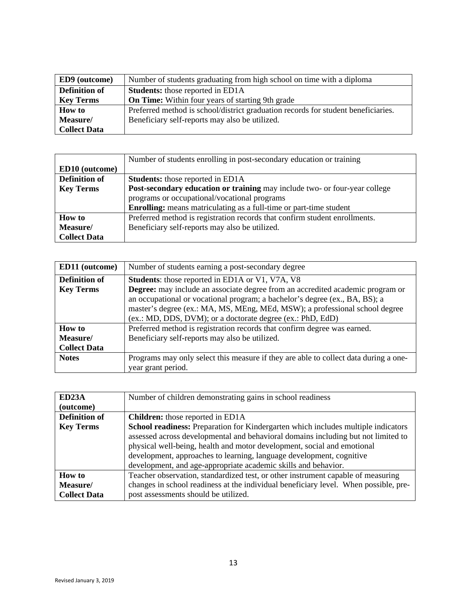| <b>ED9</b> (outcome) | Number of students graduating from high school on time with a diploma             |
|----------------------|-----------------------------------------------------------------------------------|
| <b>Definition of</b> | <b>Students:</b> those reported in ED1A                                           |
| <b>Key Terms</b>     | <b>On Time:</b> Within four years of starting 9th grade                           |
| <b>How to</b>        | Preferred method is school/district graduation records for student beneficiaries. |
| Measure/             | Beneficiary self-reports may also be utilized.                                    |
| <b>Collect Data</b>  |                                                                                   |

|                      | Number of students enrolling in post-secondary education or training              |
|----------------------|-----------------------------------------------------------------------------------|
| ED10 (outcome)       |                                                                                   |
| <b>Definition of</b> | <b>Students:</b> those reported in ED1A                                           |
| <b>Key Terms</b>     | <b>Post-secondary education or training</b> may include two- or four-year college |
|                      | programs or occupational/vocational programs                                      |
|                      | <b>Enrolling:</b> means matriculating as a full-time or part-time student         |
| <b>How</b> to        | Preferred method is registration records that confirm student enrollments.        |
| Measure/             | Beneficiary self-reports may also be utilized.                                    |
| <b>Collect Data</b>  |                                                                                   |

| <b>ED11</b> (outcome) | Number of students earning a post-secondary degree                                    |
|-----------------------|---------------------------------------------------------------------------------------|
| <b>Definition of</b>  | <b>Students:</b> those reported in ED1A or V1, V7A, V8                                |
| <b>Key Terms</b>      | <b>Degree:</b> may include an associate degree from an accredited academic program or |
|                       | an occupational or vocational program; a bachelor's degree (ex., BA, BS); a           |
|                       | master's degree (ex.: MA, MS, MEng, MEd, MSW); a professional school degree           |
|                       | (ex.: MD, DDS, DVM); or a doctorate degree (ex.: PhD, EdD)                            |
| <b>How to</b>         | Preferred method is registration records that confirm degree was earned.              |
| Measure/              | Beneficiary self-reports may also be utilized.                                        |
| <b>Collect Data</b>   |                                                                                       |
| <b>Notes</b>          | Programs may only select this measure if they are able to collect data during a one-  |
|                       | year grant period.                                                                    |

| ED <sub>23</sub> A   | Number of children demonstrating gains in school readiness                                                                                                                                                                                                                                                                                                                                  |
|----------------------|---------------------------------------------------------------------------------------------------------------------------------------------------------------------------------------------------------------------------------------------------------------------------------------------------------------------------------------------------------------------------------------------|
| (outcome)            |                                                                                                                                                                                                                                                                                                                                                                                             |
| <b>Definition of</b> | <b>Children:</b> those reported in ED1A                                                                                                                                                                                                                                                                                                                                                     |
| <b>Key Terms</b>     | School readiness: Preparation for Kindergarten which includes multiple indicators<br>assessed across developmental and behavioral domains including but not limited to<br>physical well-being, health and motor development, social and emotional<br>development, approaches to learning, language development, cognitive<br>development, and age-appropriate academic skills and behavior. |
| <b>How</b> to        | Teacher observation, standardized test, or other instrument capable of measuring                                                                                                                                                                                                                                                                                                            |
| Measure/             | changes in school readiness at the individual beneficiary level. When possible, pre-                                                                                                                                                                                                                                                                                                        |
| <b>Collect Data</b>  | post assessments should be utilized.                                                                                                                                                                                                                                                                                                                                                        |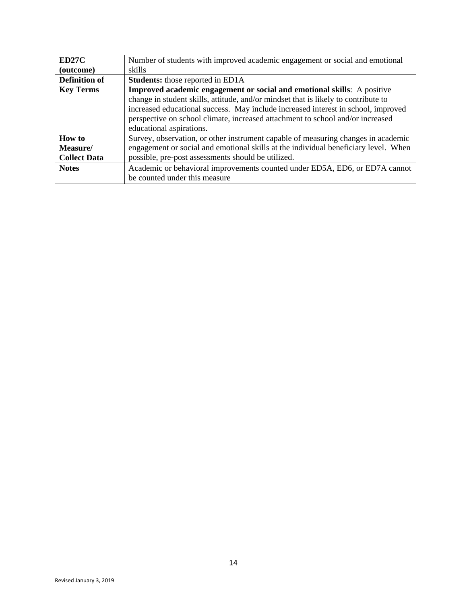| ED27C                | Number of students with improved academic engagement or social and emotional                                                                                                                                                                                                          |
|----------------------|---------------------------------------------------------------------------------------------------------------------------------------------------------------------------------------------------------------------------------------------------------------------------------------|
| (outcome)            | skills                                                                                                                                                                                                                                                                                |
| <b>Definition of</b> | <b>Students:</b> those reported in ED1A                                                                                                                                                                                                                                               |
| <b>Key Terms</b>     | <b>Improved academic engagement or social and emotional skills:</b> A positive                                                                                                                                                                                                        |
|                      | change in student skills, attitude, and/or mindset that is likely to contribute to<br>increased educational success. May include increased interest in school, improved<br>perspective on school climate, increased attachment to school and/or increased<br>educational aspirations. |
| How to               | Survey, observation, or other instrument capable of measuring changes in academic                                                                                                                                                                                                     |
| Measure/             | engagement or social and emotional skills at the individual beneficiary level. When                                                                                                                                                                                                   |
| <b>Collect Data</b>  | possible, pre-post assessments should be utilized.                                                                                                                                                                                                                                    |
| <b>Notes</b>         | Academic or behavioral improvements counted under ED5A, ED6, or ED7A cannot                                                                                                                                                                                                           |
|                      | be counted under this measure                                                                                                                                                                                                                                                         |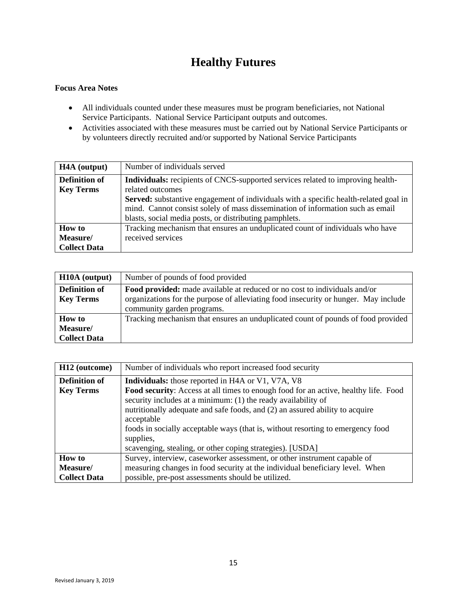### **Healthy Futures**

- All individuals counted under these measures must be program beneficiaries, not National Service Participants. National Service Participant outputs and outcomes.
- Activities associated with these measures must be carried out by National Service Participants or by volunteers directly recruited and/or supported by National Service Participants

| H <sub>4</sub> A (output)                | Number of individuals served                                                                                                                                                                                                                                                                |
|------------------------------------------|---------------------------------------------------------------------------------------------------------------------------------------------------------------------------------------------------------------------------------------------------------------------------------------------|
| <b>Definition of</b><br><b>Key Terms</b> | <b>Individuals:</b> recipients of CNCS-supported services related to improving health-<br>related outcomes<br><b>Served:</b> substantive engagement of individuals with a specific health-related goal in<br>mind. Cannot consist solely of mass dissemination of information such as email |
|                                          | blasts, social media posts, or distributing pamphlets.                                                                                                                                                                                                                                      |
| <b>How to</b>                            | Tracking mechanism that ensures an unduplicated count of individuals who have                                                                                                                                                                                                               |
| Measure/                                 | received services                                                                                                                                                                                                                                                                           |
| <b>Collect Data</b>                      |                                                                                                                                                                                                                                                                                             |

| H <sub>10</sub> A (output) | Number of pounds of food provided                                                   |
|----------------------------|-------------------------------------------------------------------------------------|
| <b>Definition of</b>       | <b>Food provided:</b> made available at reduced or no cost to individuals and/or    |
| <b>Key Terms</b>           | organizations for the purpose of alleviating food insecurity or hunger. May include |
|                            | community garden programs.                                                          |
| <b>How to</b>              | Tracking mechanism that ensures an unduplicated count of pounds of food provided    |
| Measure/                   |                                                                                     |
| <b>Collect Data</b>        |                                                                                     |

| H <sub>12</sub> (outcome) | Number of individuals who report increased food security                                                                                                                                                                                                                                                                                                                                                               |
|---------------------------|------------------------------------------------------------------------------------------------------------------------------------------------------------------------------------------------------------------------------------------------------------------------------------------------------------------------------------------------------------------------------------------------------------------------|
| <b>Definition of</b>      | <b>Individuals:</b> those reported in H4A or V1, V7A, V8                                                                                                                                                                                                                                                                                                                                                               |
| <b>Key Terms</b>          | <b>Food security:</b> Access at all times to enough food for an active, healthy life. Food<br>security includes at a minimum: (1) the ready availability of<br>nutritionally adequate and safe foods, and (2) an assured ability to acquire<br>acceptable<br>foods in socially acceptable ways (that is, without resorting to emergency food<br>supplies,<br>scavenging, stealing, or other coping strategies). [USDA] |
| <b>How to</b>             | Survey, interview, caseworker assessment, or other instrument capable of                                                                                                                                                                                                                                                                                                                                               |
| Measure/                  | measuring changes in food security at the individual beneficiary level. When                                                                                                                                                                                                                                                                                                                                           |
| <b>Collect Data</b>       | possible, pre-post assessments should be utilized.                                                                                                                                                                                                                                                                                                                                                                     |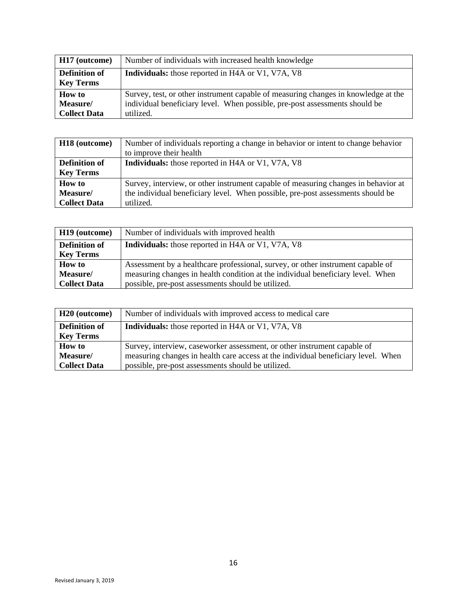| H <sub>17</sub> (outcome) | Number of individuals with increased health knowledge                              |
|---------------------------|------------------------------------------------------------------------------------|
| <b>Definition of</b>      | <b>Individuals:</b> those reported in H4A or V1, V7A, V8                           |
| <b>Key Terms</b>          |                                                                                    |
| <b>How to</b>             | Survey, test, or other instrument capable of measuring changes in knowledge at the |
| Measure/                  | individual beneficiary level. When possible, pre-post assessments should be        |
| <b>Collect Data</b>       | utilized.                                                                          |

| H <sub>18</sub> (outcome) | Number of individuals reporting a change in behavior or intent to change behavior  |
|---------------------------|------------------------------------------------------------------------------------|
|                           | to improve their health                                                            |
| <b>Definition of</b>      | <b>Individuals:</b> those reported in H4A or V1, V7A, V8                           |
| <b>Key Terms</b>          |                                                                                    |
| <b>How to</b>             | Survey, interview, or other instrument capable of measuring changes in behavior at |
| Measure/                  | the individual beneficiary level. When possible, pre-post assessments should be    |
| <b>Collect Data</b>       | utilized.                                                                          |

| H <sub>19</sub> (outcome) | Number of individuals with improved health                                      |
|---------------------------|---------------------------------------------------------------------------------|
| <b>Definition of</b>      | <b>Individuals:</b> those reported in H4A or V1, V7A, V8                        |
| <b>Key Terms</b>          |                                                                                 |
| <b>How to</b>             | Assessment by a healthcare professional, survey, or other instrument capable of |
| Measure/                  | measuring changes in health condition at the individual beneficiary level. When |
| <b>Collect Data</b>       | possible, pre-post assessments should be utilized.                              |

| H <sub>20</sub> (outcome) | Number of individuals with improved access to medical care                        |
|---------------------------|-----------------------------------------------------------------------------------|
| <b>Definition of</b>      | <b>Individuals:</b> those reported in H4A or V1, V7A, V8                          |
| <b>Key Terms</b>          |                                                                                   |
| <b>How to</b>             | Survey, interview, caseworker assessment, or other instrument capable of          |
| Measure/                  | measuring changes in health care access at the individual beneficiary level. When |
| <b>Collect Data</b>       | possible, pre-post assessments should be utilized.                                |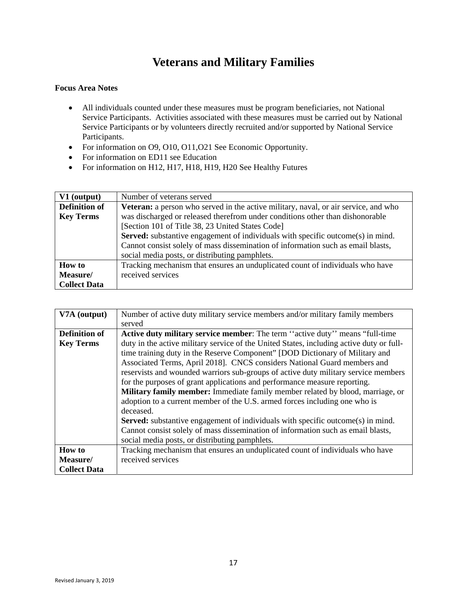### **Veterans and Military Families**

- All individuals counted under these measures must be program beneficiaries, not National Service Participants. Activities associated with these measures must be carried out by National Service Participants or by volunteers directly recruited and/or supported by National Service Participants.
- For information on O9, O10, O11, O21 See Economic Opportunity.
- For information on ED11 see Education
- For information on H12, H17, H18, H19, H20 See Healthy Futures

| V1 (output)          | Number of veterans served                                                                  |
|----------------------|--------------------------------------------------------------------------------------------|
| <b>Definition of</b> | <b>Veteran:</b> a person who served in the active military, naval, or air service, and who |
| <b>Key Terms</b>     | was discharged or released therefrom under conditions other than dishonorable              |
|                      | [Section 101 of Title 38, 23 United States Code]                                           |
|                      | <b>Served:</b> substantive engagement of individuals with specific outcome(s) in mind.     |
|                      | Cannot consist solely of mass dissemination of information such as email blasts,           |
|                      | social media posts, or distributing pamphlets.                                             |
| <b>How to</b>        | Tracking mechanism that ensures an unduplicated count of individuals who have              |
| Measure/             | received services                                                                          |
| <b>Collect Data</b>  |                                                                                            |

| V7A (output)         | Number of active duty military service members and/or military family members            |
|----------------------|------------------------------------------------------------------------------------------|
|                      | served                                                                                   |
| <b>Definition of</b> | <b>Active duty military service member:</b> The term "active duty" means "full-time"     |
| <b>Key Terms</b>     | duty in the active military service of the United States, including active duty or full- |
|                      | time training duty in the Reserve Component" [DOD Dictionary of Military and             |
|                      | Associated Terms, April 2018]. CNCS considers National Guard members and                 |
|                      | reservists and wounded warriors sub-groups of active duty military service members       |
|                      | for the purposes of grant applications and performance measure reporting.                |
|                      | <b>Military family member:</b> Immediate family member related by blood, marriage, or    |
|                      | adoption to a current member of the U.S. armed forces including one who is               |
|                      | deceased.                                                                                |
|                      | <b>Served:</b> substantive engagement of individuals with specific outcome(s) in mind.   |
|                      | Cannot consist solely of mass dissemination of information such as email blasts,         |
|                      | social media posts, or distributing pamphlets.                                           |
| <b>How to</b>        | Tracking mechanism that ensures an unduplicated count of individuals who have            |
| Measure/             | received services                                                                        |
| <b>Collect Data</b>  |                                                                                          |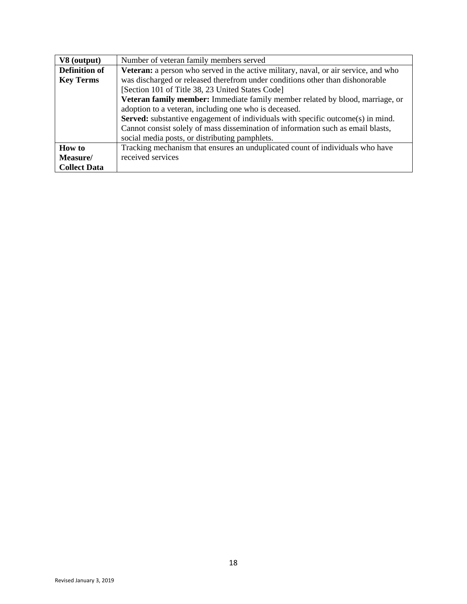| V8 (output)          | Number of veteran family members served                                                |
|----------------------|----------------------------------------------------------------------------------------|
| <b>Definition of</b> | Veteran: a person who served in the active military, naval, or air service, and who    |
| <b>Key Terms</b>     | was discharged or released therefrom under conditions other than dishonorable          |
|                      | [Section 101 of Title 38, 23 United States Code]                                       |
|                      | Veteran family member: Immediate family member related by blood, marriage, or          |
|                      | adoption to a veteran, including one who is deceased.                                  |
|                      | <b>Served:</b> substantive engagement of individuals with specific outcome(s) in mind. |
|                      | Cannot consist solely of mass dissemination of information such as email blasts,       |
|                      | social media posts, or distributing pamphlets.                                         |
| <b>How to</b>        | Tracking mechanism that ensures an unduplicated count of individuals who have          |
| Measure/             | received services                                                                      |
| <b>Collect Data</b>  |                                                                                        |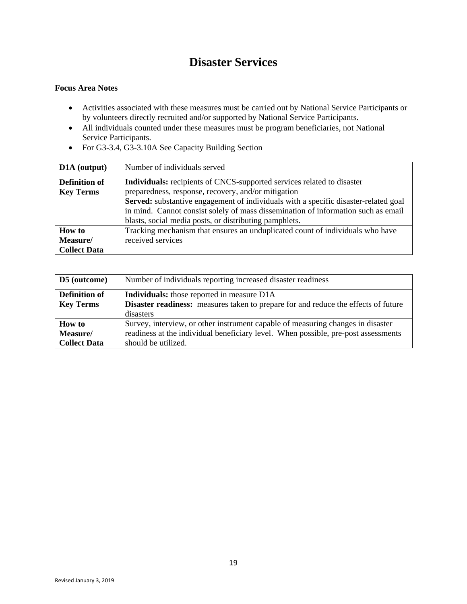### **Disaster Services**

- Activities associated with these measures must be carried out by National Service Participants or by volunteers directly recruited and/or supported by National Service Participants.
- All individuals counted under these measures must be program beneficiaries, not National Service Participants.
- For G3-3.4, G3-3.10A See Capacity Building Section

| D1A (output)         | Number of individuals served                                                        |
|----------------------|-------------------------------------------------------------------------------------|
| <b>Definition of</b> | Individuals: recipients of CNCS-supported services related to disaster              |
| <b>Key Terms</b>     | preparedness, response, recovery, and/or mitigation                                 |
|                      | Served: substantive engagement of individuals with a specific disaster-related goal |
|                      | in mind. Cannot consist solely of mass dissemination of information such as email   |
|                      | blasts, social media posts, or distributing pamphlets.                              |
| <b>How to</b>        | Tracking mechanism that ensures an unduplicated count of individuals who have       |
| Measure/             | received services                                                                   |
| <b>Collect Data</b>  |                                                                                     |

| D5 (outcome)         | Number of individuals reporting increased disaster readiness                       |
|----------------------|------------------------------------------------------------------------------------|
| <b>Definition of</b> | <b>Individuals:</b> those reported in measure D1A                                  |
| <b>Key Terms</b>     | Disaster readiness: measures taken to prepare for and reduce the effects of future |
|                      | disasters                                                                          |
| <b>How to</b>        | Survey, interview, or other instrument capable of measuring changes in disaster    |
| Measure/             | readiness at the individual beneficiary level. When possible, pre-post assessments |
| <b>Collect Data</b>  | should be utilized.                                                                |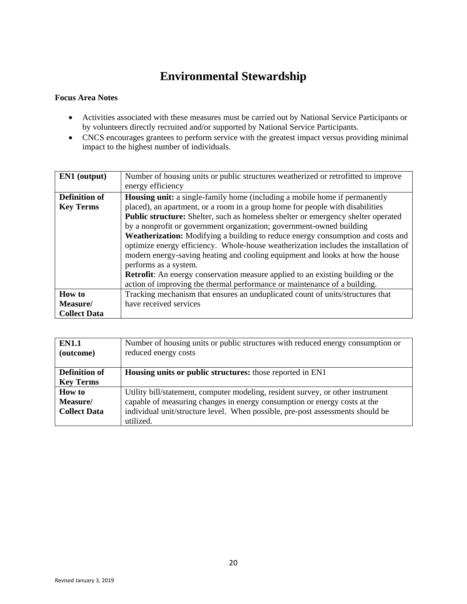### **Environmental Stewardship**

- Activities associated with these measures must be carried out by National Service Participants or by volunteers directly recruited and/or supported by National Service Participants.
- CNCS encourages grantees to perform service with the greatest impact versus providing minimal impact to the highest number of individuals.

| <b>EN1</b> (output)  | Number of housing units or public structures weatherized or retrofitted to improve       |
|----------------------|------------------------------------------------------------------------------------------|
|                      | energy efficiency                                                                        |
| <b>Definition of</b> | Housing unit: a single-family home (including a mobile home if permanently               |
| <b>Key Terms</b>     | placed), an apartment, or a room in a group home for people with disabilities            |
|                      | <b>Public structure:</b> Shelter, such as homeless shelter or emergency shelter operated |
|                      | by a nonprofit or government organization; government-owned building                     |
|                      | Weatherization: Modifying a building to reduce energy consumption and costs and          |
|                      | optimize energy efficiency. Whole-house weatherization includes the installation of      |
|                      | modern energy-saving heating and cooling equipment and looks at how the house            |
|                      | performs as a system.                                                                    |
|                      | <b>Retrofit:</b> An energy conservation measure applied to an existing building or the   |
|                      | action of improving the thermal performance or maintenance of a building.                |
| <b>How to</b>        | Tracking mechanism that ensures an unduplicated count of units/structures that           |
| Measure/             | have received services                                                                   |
| <b>Collect Data</b>  |                                                                                          |

| <b>EN1.1</b><br>(outcome) | Number of housing units or public structures with reduced energy consumption or<br>reduced energy costs |
|---------------------------|---------------------------------------------------------------------------------------------------------|
| <b>Definition of</b>      | <b>Housing units or public structures:</b> those reported in EN1                                        |
| <b>Key Terms</b>          |                                                                                                         |
| <b>How to</b>             | Utility bill/statement, computer modeling, resident survey, or other instrument                         |
| Measure/                  | capable of measuring changes in energy consumption or energy costs at the                               |
| <b>Collect Data</b>       | individual unit/structure level. When possible, pre-post assessments should be                          |
|                           | utilized.                                                                                               |